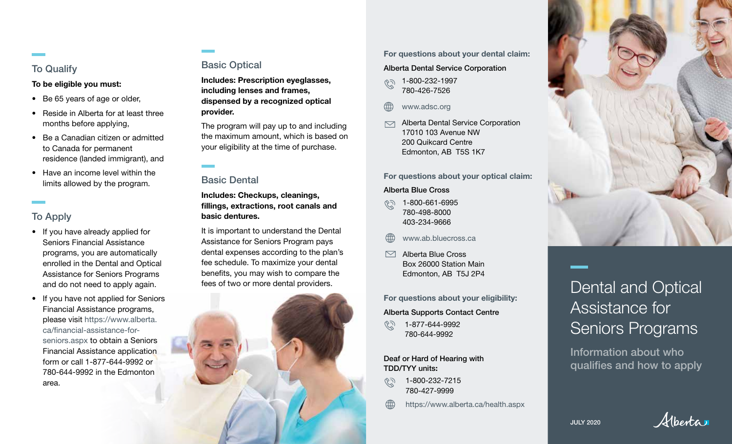## To Qualify

To be eligible you must:

- Be 65 years of age or older,
- Reside in Alberta for at least three months before applying,
- Be a Canadian citizen or admitted to Canada for permanent residence (landed immigrant), and
- Have an income level within the limits allowed by the program.

# To Apply

- If you have already applied for Seniors Financial Assistance programs, you are automatically enrolled in the Dental and Optical Assistance for Seniors Programs and do not need to apply again.
- If you have not applied for Seniors Financial Assistance programs, please visit https://www.alberta. ca/financial-assistance-forseniors.aspx to obtain a Seniors Financial Assistance application form or call 1-877-644-9992 or 780-644-9992 in the Edmonton area.

# Basic Optical

Includes: Prescription eyeglasses, including lenses and frames, dispensed by a recognized optical provider.

The program will pay up to and including the maximum amount, which is based on your eligibility at the time of purchase.

# Basic Dental

Includes: Checkups, cleanings, fillings, extractions, root canals and basic dentures.

It is important to understand the Dental Assistance for Seniors Program pays dental expenses according to the plan's fee schedule. To maximize your dental benefits, you may wish to compare the fees of two or more dental providers.



### For questions about your dental claim:

## Alberta Dental Service Corporation

- 1-800-232-1997  $\widehat{(\zeta)}$ 780-426-7526
- www.adsc.org
- Alberta Dental Service Corporation  $\triangledown$ 17010 103 Avenue NW 200 Quikcard Centre Edmonton, AB T5S 1K7

For questions about your optical claim:

### Alberta Blue Cross

- 1-800-661-6995 780-498-8000 403-234-9666
- www.ab.bluecross.ca
- $\triangleright$ Alberta Blue Cross Box 26000 Station Main Edmonton, AB T5J 2P4

For questions about your eligibility:

## Alberta Supports Contact Centre

1-877-644-9992 780-644-9992

Deaf or Hard of Hearing with TDD/TYY units :

رگر) 1-800-232-7215 780-427-9999

https://www.alberta.ca/health.aspx



# Dental and Optical Assistance for Seniors Programs

Information about who qualifies and how to apply

JULY 2020

Alberta